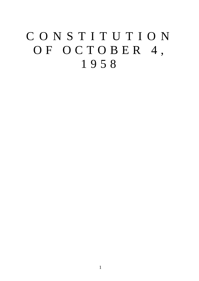# CONSTITUTION OF OCTOBER 4, 1958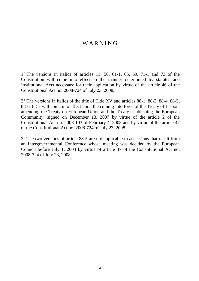# WARNING

**--------**

 $1^\circ$  The versions in italics of articles 11, 56, 61-1, 65, 69, 71-1 and 73 of the Constitution will come into effect in the manner determined by statutes and Institutional Acts necessary for their application by virtue of the article 46 of the Constitutional Act no. 2008-724 of July 23, 2008;

2° The versions in italics of the title of Title XV and articles 88-1, 88-2, 88-4, 88-5, 88-6, 88-7 will come into effect upon the coming into force of the Treaty of Lisbon, amending the Treaty on European Union and the Treaty establishing the European Community, signed on December 13, 2007 by virtue of the article 2 of the Constitutional Act no. 2008-103 of February 4, 2008 and by virtue of the article 47 of the Constitutional Act no. 2008-724 of July 23, 2008 ;

3° The two versions of article 88-5 are not applicable to accessions that result from an Intergovernmental Conference whose meeting was decided by the European Council before July 1, 2004 by virtue of article 47 of the Constitutional Act no. 2008-724 of July 23, 2008.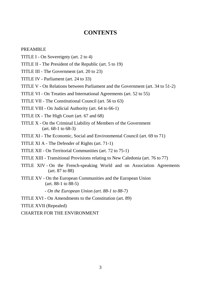# **CONTENTS**

PREAMBLE

- TITLE I On Sovereignty (art. 2 to 4)
- TITLE II The President of the Republic (art. 5 to 19)

TITLE III - The Government (art. 20 to 23)

- TITLE IV Parliament (art. 24 to 33)
- TITLE V On Relations between Parliament and the Government (art. 34 to 51-2)

TITLE VI - On Treaties and International Agreements (art. 52 to 55)

TITLE VII - The Constitutional Council (art. 56 to 63)

- TITLE VIII On Judicial Authority (art. 64 to 66-1)
- TITLE IX The High Court (art. 67 and 68)
- TITLE X On the Criminal Liability of Members of the Government (art. 68-1 to 68-3)
- TITLE XI The Economic, Social and Environmental Council (art. 69 to 71)
- TITLE XI A The Defender of Rights (art. 71-1)
- TITLE XII On Territorial Communities (art. 72 to 75-1)
- TITLE XIII Transitional Provisions relating to New Caledonia (art. 76 to 77)
- TITLE XIV On the French-speaking World and on Association Agreements (art. 87 to 88)
- TITLE XV On the European Communities and the European Union (art. 88-1 to 88-5)

*- On the European Union (art. 88-1 to 88-7)*

TITLE XVI - On Amendments to the Constitution (art. 89)

TITLE XVII (Repealed)

CHARTER FOR THE ENVIRONMENT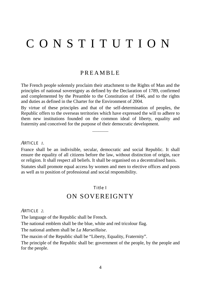# CONSTITUTION

# PREAMBLE

The French people solemnly proclaim their attachment to the Rights of Man and the principles of national sovereignty as defined by the Declaration of 1789, confirmed and complemented by the Preamble to the Constitution of 1946, and to the rights and duties as defined in the Charter for the Environment of 2004.

By virtue of these principles and that of the self-determination of peoples, the Republic offers to the overseas territories which have expressed the will to adhere to them new institutions founded on the common ideal of liberty, equality and fraternity and conceived for the purpose of their democratic development.

 $\overline{\phantom{a}}$ 

#### *A*RTICLE *1.*

France shall be an indivisible, secular, democratic and social Republic. It shall ensure the equality of all citizens before the law, without distinction of origin, race or religion. It shall respect all beliefs. It shall be organised on a decentralised basis.

Statutes shall promote equal access by women and men to elective offices and posts as well as to position of professional and social responsibility.

#### T itle I

# ON SOVEREIGNTY

#### *A*RTICLE *2.*

The language of the Republic shall be French.

The national emblem shall be the blue, white and red tricolour flag.

The national anthem shall be *La Marseillaise*.

The maxim of the Republic shall be "Liberty, Equality, Fraternity".

The principle of the Republic shall be: government of the people, by the people and for the people.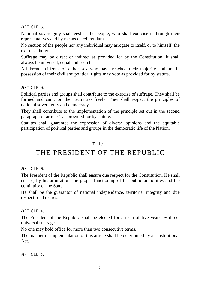*A*RTICLE *3.*

National sovereignty shall vest in the people, who shall exercise it through their representatives and by means of referendum.

No section of the people nor any individual may arrogate to itself, or to himself, the exercise thereof.

Suffrage may be direct or indirect as provided for by the Constitution. It shall always be universal, equal and secret.

All French citizens of either sex who have reached their majority and are in possession of their civil and political rights may vote as provided for by statute.

### *A*RTICLE *4.*

Political parties and groups shall contribute to the exercise of suffrage. They shall be formed and carry on their activities freely. They shall respect the principles of national sovereignty and democracy.

They shall contribute to the implementation of the principle set out in the second paragraph of article 1 as provided for by statute.

Statutes shall guarantee the expression of diverse opinions and the equitable participation of political parties and groups in the democratic life of the Nation.

## Title II

# THE PRESIDENT OF THE REPUBLIC

### *A*RTICLE *5.*

The President of the Republic shall ensure due respect for the Constitution. He shall ensure, by his arbitration, the proper functioning of the public authorities and the continuity of the State.

He shall be the guarantor of national independence, territorial integrity and due respect for Treaties.

### *A*RTICLE *6.*

The President of the Republic shall be elected for a term of five years by direct universal suffrage.

No one may hold office for more than two consecutive terms.

The manner of implementation of this article shall be determined by an Institutional Act.

*A*RTICLE *7.*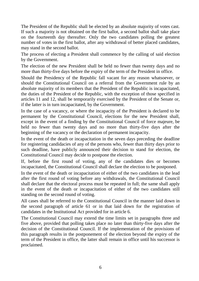The President of the Republic shall be elected by an absolute majority of votes cast. If such a majority is not obtained on the first ballot, a second ballot shall take place on the fourteenth day thereafter. Only the two candidates polling the greatest number of votes in the first ballot, after any withdrawal of better placed candidates, may stand in the second ballot.

The process of electing a President shall commence by the calling of said election by the Government.

The election of the new President shall be held no fewer than twenty days and no more than thirty-five days before the expiry of the term of the President in office.

Should the Presidency of the Republic fall vacant for any reason whatsoever, or should the Constitutional Council on a referral from the Government rule by an absolute majority of its members that the President of the Republic is incapacitated, the duties of the President of the Republic, with the exception of those specified in articles 11 and 12, shall be temporarily exercised by the President of the Senate or, if the latter is in turn incapacitated, by the Government.

In the case of a vacancy, or where the incapacity of the President is declared to be permanent by the Constitutional Council, elections for the new President shall, except in the event of a finding by the Constitutional Council of force majeure, be held no fewer than twenty days and no more than thirty-five days after the beginning of the vacancy or the declaration of permanent incapacity.

In the event of the death or incapacitation in the seven days preceding the deadline for registering candidacies of any of the persons who, fewer than thirty days prior to such deadline, have publicly announced their decision to stand for election, the Constitutional Council may decide to postpone the election.

If, before the first round of voting, any of the candidates dies or becomes incapacitated, the Constitutional Council shall declare the election to be postponed.

In the event of the death or incapacitation of either of the two candidates in the lead after the first round of voting before any withdrawals, the Constitutional Council shall declare that the electoral process must be repeated in full; the same shall apply in the event of the death or incapacitation of either of the two candidates still standing on the second round of voting.

All cases shall be referred to the Constitutional Council in the manner laid down in the second paragraph of article 61 or in that laid down for the registration of candidates in the Institutional Act provided for in article 6.

The Constitutional Council may extend the time limits set in paragraphs three and five above, provided that polling takes place no later than thirty-five days after the decision of the Constitutional Council. If the implementation of the provisions of this paragraph results in the postponement of the election beyond the expiry of the term of the President in office, the latter shall remain in office until his successor is proclaimed.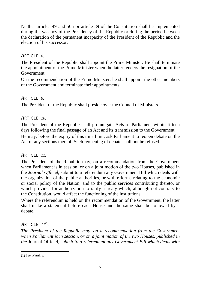Neither articles 49 and 50 nor article 89 of the Constitution shall be implemented during the vacancy of the Presidency of the Republic or during the period between the declaration of the permanent incapacity of the President of the Republic and the election of his successor.

# *A*RTICLE *8.*

The President of the Republic shall appoint the Prime Minister. He shall terminate the appointment of the Prime Minister when the latter tenders the resignation of the Government.

On the recommendation of the Prime Minister, he shall appoint the other members of the Government and terminate their appointments.

## *A*RTICLE *9.*

The President of the Republic shall preside over the Council of Ministers.

## *A*RTICLE *10.*

The President of the Republic shall promulgate Acts of Parliament within fifteen days following the final passage of an Act and its transmission to the Government. He may, before the expiry of this time limit, ask Parliament to reopen debate on the Act or any sections thereof. Such reopening of debate shall not be refused.

## *A*RTICLE *11.*

The President of the Republic may, on a recommendation from the Government when Parliament is in session, or on a joint motion of the two Houses, published in the *Journal Officiel*, submit to a referendum any Government Bill which deals with the organization of the public authorities, or with reforms relating to the economic or social policy of the Nation, and to the public services contributing thereto, or which provides for authorization to ratify a treaty which, although not contrary to the Constitution, would affect the functioning of the institutions.

Where the referendum is held on the recommendation of the Government, the latter shall make a statement before each House and the same shall be followed by a debate.

# $A$ RTICLE  $II^{(1)}$  $II^{(1)}$  $II^{(1)}$ .

*The President of the Republic may, on a recommendation from the Government when Parliament is in session, or on a joint motion of the two Houses, published in the* Journal Officiel*, submit to a referendum any Government Bill which deals with* 

<span id="page-6-0"></span><sup>&</sup>lt;u>.</u> (1) See Warning.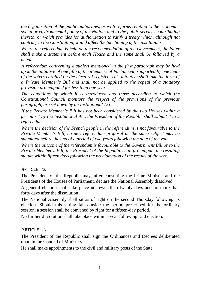*the organization of the public authorities, or with reforms relating to the economic, social or environmental policy of the Nation, and to the public services contributing thereto, or which provides for authorization to ratify a treaty which, although not contrary to the Constitution, would affect the functioning of the institutions.* 

*Where the referendum is held on the recommendation of the Government, the latter shall make a statement before each House and the same shall be followed by a debate.* 

*A referendum concerning a subject mentioned in the first paragraph may be held upon the initiative of one fifth of the Members of Parliament, supported by one tenth of the voters enrolled on the electoral register. This initiative shall take the form of a Private Member's Bill and shall not be applied to the repeal of a statutory provision promulgated for less than one year.*

*The conditions by which it is introduced and those according to which the Constitutional Council monitors the respect of the provisions of the previous paragraph, are set down by an Institutional Act.*

*If the Private Member's Bill has not been considered by the two Houses within a period set by the Institutional Act, the President of the Republic shall submit it to a referendum.*

*Where the decision of the French people in the referendum is not favourable to the Private Member's Bill, no new referendum proposal on the same subject may be submitted before the end of a period of two years following the date of the vote.*

*Where the outcome of the referendum is favourable to the Government Bill or to the Private Member's Bill, the President of the Republic shall promulgate the resulting statute within fifteen days following the proclamation of the results of the vote.*

### *A*RTICLE *12.*

The President of the Republic may, after consulting the Prime Minister and the Presidents of the Houses of Parliament, declare the National Assembly dissolved.

A general election shall take place no fewer than twenty days and no more than forty days after the dissolution.

The National Assembly shall sit as of right on the second Thursday following its election. Should this sitting fall outside the period prescribed for the ordinary session, a session shall be convened by right for a fifteen-day period.

No further dissolution shall take place within a year following said election.

### ARTICLE 13.

The President of the Republic shall sign the Ordinances and Decrees deliberated upon in the Council of Ministers.

He shall make appointments to the civil and military posts of the State.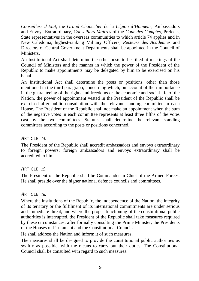*Conseillers d'État*, the *Grand Chancelier* de la *Légion d'Honneur*, Ambassadors and Envoys Extraordinary, *Conseillers Maîtres* of the *Cour des Comptes*, Prefects, State representatives in the overseas communities to which article 74 applies and in New Caledonia, highest-ranking Military Officers, *Recteurs des Académies* and Directors of Central Government Departments shall be appointed in the Council of Ministers.

An Institutional Act shall determine the other posts to be filled at meetings of the Council of Ministers and the manner in which the power of the President of the Republic to make appointments may be delegated by him to be exercised on his behalf.

An Institutional Act shall determine the posts or positions, other than those mentioned in the third paragraph, concerning which, on account of their importance in the guaranteeing of the rights and freedoms or the economic and social life of the Nation, the power of appointment vested in the President of the Republic shall be exercised after public consultation with the relevant standing committee in each House. The President of the Republic shall not make an appointment when the sum of the negative votes in each committee represents at least three fifths of the votes cast by the two committees. Statutes shall determine the relevant standing committees according to the posts or positions concerned.

### *A*RTICLE *14.*

The President of the Republic shall accredit ambassadors and envoys extraordinary to foreign powers; foreign ambassadors and envoys extraordinary shall be accredited to him.

## *A*RTICLE *15.*

The President of the Republic shall be Commander-in-Chief of the Armed Forces. He shall preside over the higher national defence councils and committees.

### *A*RTICLE *16.*

Where the institutions of the Republic, the independence of the Nation, the integrity of its territory or the fulfilment of its international commitments are under serious and immediate threat, and where the proper functioning of the constitutional public authorities is interrupted, the President of the Republic shall take measures required by these circumstances, after formally consulting the Prime Minister, the Presidents of the Houses of Parliament and the Constitutional Council.

He shall address the Nation and inform it of such measures.

The measures shall be designed to provide the constitutional public authorities as swiftly as possible, with the means to carry out their duties. The Constitutional Council shall be consulted with regard to such measures.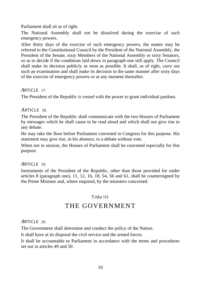Parliament shall sit as of right.

The National Assembly shall not be dissolved during the exercise of such emergency powers.

After thirty days of the exercise of such emergency powers, the matter may be referred to the Constitutional Council by the President of the National Assembly, the President of the Senate, sixty Members of the National Assembly or sixty Senators, so as to decide if the conditions laid down in paragraph one still apply. The Council shall make its decision publicly as soon as possible. It shall, as of right, carry out such an examination and shall make its decision in the same manner after sixty days of the exercise of emergency powers or at any moment thereafter.

### *A*RTICLE *17.*

The President of the Republic is vested with the power to grant individual pardons.

### ARTICLE 18.

The President of the Republic shall communicate with the two Houses of Parliament by messages which he shall cause to be read aloud and which shall not give rise to any debate.

He may take the floor before Parliament convened in Congress for this purpose. His statement may give rise, in his absence, to a debate without vote.

When not in session, the Houses of Parliament shall be convened especially for this purpose.

### *A*RTICLE *19.*

Instruments of the President of the Republic, other than those provided for under articles 8 (paragraph one), 11, 12, 16, 18, 54, 56 and 61, shall be countersigned by the Prime Minister and, where required, by the ministers concerned.

# Title III

# THE GOVERNMENT

### *A*RTICLE *20.*

The Government shall determine and conduct the policy of the Nation.

It shall have at its disposal the civil service and the armed forces.

It shall be accountable to Parliament in accordance with the terms and procedures set out in articles 49 and 50.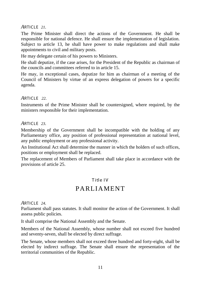### *A*RTICLE *21.*

The Prime Minister shall direct the actions of the Government. He shall be responsible for national defence. He shall ensure the implementation of legislation. Subject to article 13, he shall have power to make regulations and shall make appointments to civil and military posts.

He may delegate certain of his powers to Ministers.

He shall deputize, if the case arises, for the President of the Republic as chairman of the councils and committees referred to in article 15.

He may, in exceptional cases, deputize for him as chairman of a meeting of the Council of Ministers by virtue of an express delegation of powers for a specific agenda.

### *A*RTICLE *22.*

Instruments of the Prime Minister shall be countersigned, where required, by the ministers responsible for their implementation.

### *A*RTICLE *23.*

Membership of the Government shall be incompatible with the holding of any Parliamentary office, any position of professional representation at national level, any public employment or any professional activity.

An Institutional Act shall determine the manner in which the holders of such offices, positions or employment shall be replaced.

The replacement of Members of Parliament shall take place in accordance with the provisions of article 25.

## Title IV

# PARLIAMENT

#### *A*RTICLE *24.*

Parliament shall pass statutes. It shall monitor the action of the Government. It shall assess public policies.

It shall comprise the National Assembly and the Senate.

Members of the National Assembly, whose number shall not exceed five hundred and seventy-seven, shall be elected by direct suffrage.

The Senate, whose members shall not exceed three hundred and forty-eight, shall be elected by indirect suffrage. The Senate shall ensure the representation of the territorial communities of the Republic.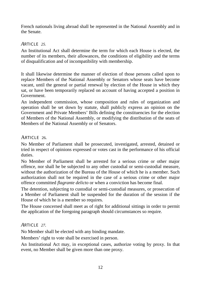French nationals living abroad shall be represented in the National Assembly and in the Senate.

### *A*RTICLE *25*.

An Institutional Act shall determine the term for which each House is elected, the number of its members, their allowances, the conditions of eligibility and the terms of disqualification and of incompatibility with membership.

It shall likewise determine the manner of election of those persons called upon to replace Members of the National Assembly or Senators whose seats have become vacant, until the general or partial renewal by election of the House in which they sat, or have been temporarily replaced on account of having accepted a position in Government.

An independent commission, whose composition and rules of organization and operation shall be set down by statute, shall publicly express an opinion on the Government and Private Members' Bills defining the constituencies for the election of Members of the National Assembly, or modifying the distribution of the seats of Members of the National Assembly or of Senators.

### ARTICLE 26*.*

No Member of Parliament shall be prosecuted, investigated, arrested, detained or tried in respect of opinions expressed or votes cast in the performance of his official duties.

No Member of Parliament shall be arrested for a serious crime or other major offence, nor shall he be subjected to any other custodial or semi-custodial measure, without the authorization of the Bureau of the House of which he is a member. Such authorization shall not be required in the case of a serious crime or other major offence committed *flagrante delicto* or when a conviction has become final.

The detention, subjecting to custodial or semi-custodial measures, or prosecution of a Member of Parliament shall be suspended for the duration of the session if the House of which he is a member so requires.

The House concerned shall meet as of right for additional sittings in order to permit the application of the foregoing paragraph should circumstances so require.

### *A*RTICLE *27.*

No Member shall be elected with any binding mandate.

Members' right to vote shall be exercised in person.

An Institutional Act may, in exceptional cases, authorize voting by proxy. In that event, no Member shall be given more than one proxy.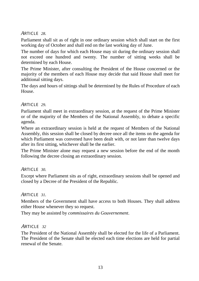*A*RTICLE *28.*

Parliament shall sit as of right in one ordinary session which shall start on the first working day of October and shall end on the last working day of June.

The number of days for which each House may sit during the ordinary session shall not exceed one hundred and twenty. The number of sitting weeks shall be determined by each House.

The Prime Minister, after consulting the President of the House concerned or the majority of the members of each House may decide that said House shall meet for additional sitting days.

The days and hours of sittings shall be determined by the Rules of Procedure of each House.

## *A*RTICLE *29.*

Parliament shall meet in extraordinary session, at the request of the Prime Minister or of the majority of the Members of the National Assembly, to debate a specific agenda.

Where an extraordinary session is held at the request of Members of the National Assembly, this session shall be closed by decree once all the items on the agenda for which Parliament was convened have been dealt with, or not later than twelve days after its first sitting, whichever shall be the earlier.

The Prime Minister alone may request a new session before the end of the month following the decree closing an extraordinary session.

### *A*RTICLE *30.*

Except where Parliament sits as of right, extraordinary sessions shall be opened and closed by a Decree of the President of the Republic.

### *A*RTICLE *31.*

Members of the Government shall have access to both Houses. They shall address either House whenever they so request.

They may be assisted by *commissaires du Gouvernement*.

## *A*RTICLE *32*

The President of the National Assembly shall be elected for the life of a Parliament. The President of the Senate shall be elected each time elections are held for partial renewal of the Senate.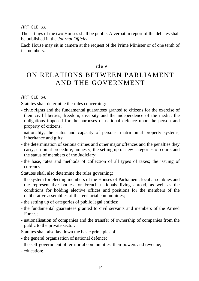*A*RTICLE *33.*

The sittings of the two Houses shall be public. A verbatim report of the debates shall be published in the *Journal Officiel.*

Each House may sit in camera at the request of the Prime Minister or of one tenth of its members.

### T itle V

# ON RELATIONS BETWEEN PARLIAMENT AND THE GOVERNMENT

### *A*RTICLE *34.*

Statutes shall determine the rules concerning:

- civic rights and the fundamental guarantees granted to citizens for the exercise of their civil liberties; freedom, diversity and the independence of the media; the obligations imposed for the purposes of national defence upon the person and property of citizens;
- nationality, the status and capacity of persons, matrimonial property systems, inheritance and gifts;
- the determination of serious crimes and other major offences and the penalties they carry; criminal procedure; amnesty; the setting up of new categories of courts and the status of members of the Judiciary;
- the base, rates and methods of collection of all types of taxes; the issuing of currency.

Statutes shall also determine the rules governing:

- the system for electing members of the Houses of Parliament, local assemblies and the representative bodies for French nationals living abroad, as well as the conditions for holding elective offices and positions for the members of the deliberative assemblies of the territorial communities;
- the setting up of categories of public legal entities;
- the fundamental guarantees granted to civil servants and members of the Armed Forces;
- nationalisation of companies and the transfer of ownership of companies from the public to the private sector.

Statutes shall also lay down the basic principles of:

- the general organisation of national defence;
- the self-government of territorial communities, their powers and revenue;
- education;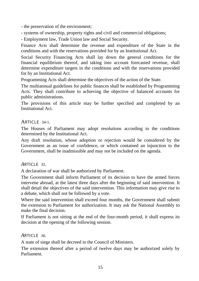- the preservation of the environment;

- systems of ownership, property rights and civil and commercial obligations;

- Employment law, Trade Union law and Social Security.

Finance Acts shall determine the revenue and expenditure of the State in the conditions and with the reservations provided for by an Institutional Act.

Social Security Financing Acts shall lay down the general conditions for the financial equilibrium thereof, and taking into account forecasted revenue, shall determine expenditure targets in the conditions and with the reservations provided for by an Institutional Act.

Programming Acts shall determine the objectives of the action of the State.

The multiannual guidelines for public finances shall be established by Programming Acts. They shall contribute to achieving the objective of balanced accounts for public administrations.

The provisions of this article may be further specified and completed by an Institutional Act.

#### ARTICLE 34-1.

The Houses of Parliament may adopt resolutions according to the conditions determined by the Institutional Act.

Any draft resolution, whose adoption or rejection would be considered by the Government as an issue of confidence, or which contained an injunction to the Government, shall be inadmissible and may not be included on the agenda.

#### *A*RTICLE *35.*

A declaration of war shall be authorized by Parliament.

The Government shall inform Parliament of its decision to have the armed forces intervene abroad, at the latest three days after the beginning of said intervention. It shall detail the objectives of the said intervention. This information may give rise to a debate, which shall not be followed by a vote.

Where the said intervention shall exceed four months, the Government shall submit the extension to Parliament for authorization. It may ask the National Assembly to make the final decision.

If Parliament is not sitting at the end of the four-month period, it shall express its decision at the opening of the following session.

*A*RTICLE *36.* 

A state of siege shall be decreed in the Council of Ministers.

The extension thereof after a period of twelve days may be authorized solely by Parliament.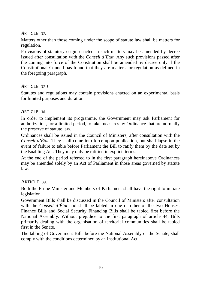### *A*RTICLE *37.*

Matters other than those coming under the scope of statute law shall be matters for regulation.

Provisions of statutory origin enacted in such matters may be amended by decree issued after consultation with the *Conseil d'État*. Any such provisions passed after the coming into force of the Constitution shall be amended by decree only if the Constitutional Council has found that they are matters for regulation as defined in the foregoing paragraph.

### *A*RTICLE *37-1*.

Statutes and regulations may contain provisions enacted on an experimental basis for limited purposes and duration.

### *A*RTICLE *38.*

In order to implement its programme, the Government may ask Parliament for authorization, for a limited period, to take measures by Ordinance that are normally the preserve of statute law.

Ordinances shall be issued in the Council of Ministers, after consultation with the *Conseil d'État*. They shall come into force upon publication, but shall lapse in the event of failure to table before Parliament the Bill to ratify them by the date set by the Enabling Act. They may only be ratified in explicit terms.

At the end of the period referred to in the first paragraph hereinabove Ordinances may be amended solely by an Act of Parliament in those areas governed by statute law.

### ARTICLE 39

Both the Prime Minister and Members of Parliament shall have the right to initiate legislation.

Government Bills shall be discussed in the Council of Ministers after consultation with the *Conseil d'État* and shall be tabled in one or other of the two Houses. Finance Bills and Social Security Financing Bills shall be tabled first before the National Assembly. Without prejudice to the first paragraph of article 44, Bills primarily dealing with the organisation of territorial communities shall be tabled first in the Senate.

The tabling of Government Bills before the National Assembly or the Senate, shall comply with the conditions determined by an Institutional Act.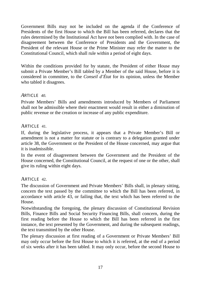Government Bills may not be included on the agenda if the Conference of Presidents of the first House to which the Bill has been referred, declares that the rules determined by the Institutional Act have not been complied with. In the case of disagreement between the Conference of Presidents and the Government, the President of the relevant House or the Prime Minister may refer the matter to the Constitutional Council, which shall rule within a period of eight days.

Within the conditions provided for by statute, the President of either House may submit a Private Member's Bill tabled by a Member of the said House, before it is considered in committee, to the *Conseil d'État* for its opinion, unless the Member who tabled it disagrees.

### *A*RTICLE *40.*

Private Members' Bills and amendments introduced by Members of Parliament shall not be admissible where their enactment would result in either a diminution of public revenue or the creation or increase of any public expenditure.

### ARTICLE 41.

If, during the legislative process, it appears that a Private Member's Bill or amendment is not a matter for statute or is contrary to a delegation granted under article 38, the Government or the President of the House concerned, may argue that it is inadmissible.

In the event of disagreement between the Government and the President of the House concerned, the Constitutional Council, at the request of one or the other, shall give its ruling within eight days.

### ARTICLE  $42.$

The discussion of Government and Private Members' Bills shall, in plenary sitting, concern the text passed by the committee to which the Bill has been referred, in accordance with article 43, or failing that, the text which has been referred to the House.

Notwithstanding the foregoing, the plenary discussion of Constitutional Revision Bills, Finance Bills and Social Security Financing Bills, shall concern, during the first reading before the House to which the Bill has been referred in the first instance, the text presented by the Government, and during the subsequent readings, the text transmitted by the other House.

The plenary discussion at first reading of a Government or Private Members' Bill may only occur before the first House to which it is referred, at the end of a period of six weeks after it has been tabled. It may only occur, before the second House to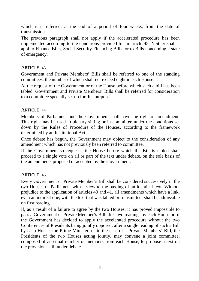which it is referred, at the end of a period of four weeks, from the date of transmission.

The previous paragraph shall not apply if the accelerated procedure has been implemented according to the conditions provided for in article 45. Neither shall it appl to Finance Bills, Social Security Financing Bills, or to Bills concerning a state of emergency.

### ARTICLE 43.

Government and Private Members' Bills shall be referred to one of the standing committees, the number of which shall not exceed eight in each House.

At the request of the Government or of the House before which such a bill has been tabled, Government and Private Members' Bills shall be referred for consideration to a committee specially set up for this purpose.

### ARTICLE 44.

Members of Parliament and the Government shall have the right of amendment. This right may be used in plenary sitting or in committee under the conditions set down by the Rules of Procedure of the Houses, according to the framework determined by an Institutional Act.

Once debate has begun, the Government may object to the consideration of any amendment which has not previously been referred to committee.

If the Government so requests, the House before which the Bill is tabled shall proceed to a single vote on all or part of the text under debate, on the sole basis of the amendments proposed or accepted by the Government.

### ARTICLE 45.

Every Government or Private Member's Bill shall be considered successively in the two Houses of Parliament with a view to the passing of an identical text. Without prejudice to the application of articles 40 and 41, all amendments which have a link, even an indirect one, with the text that was tabled or transmitted, shall be admissible on first reading.

If, as a result of a failure to agree by the two Houses, it has proved impossible to pass a Government or Private Member's Bill after two readings by each House or, if the Government has decided to apply the accelerated procedure without the two Conferences of Presidents being jointly opposed, after a single reading of such a Bill by each House, the Prime Minister, or in the case of a Private Members' Bill, the Presidents of the two Houses acting jointly, may convene a joint committee, composed of an equal number of members from each House, to propose a text on the provisions still under debate.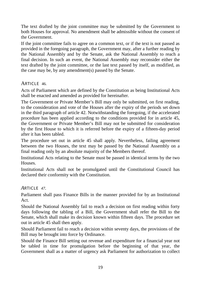The text drafted by the joint committee may be submitted by the Government to both Houses for approval. No amendment shall be admissible without the consent of the Government.

If the joint committee fails to agree on a common text, or if the text is not passed as provided in the foregoing paragraph, the Government may, after a further reading by the National Assembly and by the Senate, ask the National Assembly to reach a final decision. In such an event, the National Assembly may reconsider either the text drafted by the joint committee, or the last text passed by itself, as modified, as the case may be, by any amendment(s) passed by the Senate.

### ARTICLE 46.

Acts of Parliament which are defined by the Constitution as being Institutional Acts shall be enacted and amended as provided for hereinafter.

The Government or Private Member's Bill may only be submitted, on first reading, to the consideration and vote of the Houses after the expiry of the periods set down in the third paragraph of article 42. Notwithstanding the foregoing, if the accelerated procedure has been applied according to the conditions provided for in article 45, the Government or Private Member's Bill may not be submitted for consideration by the first House to which it is referred before the expiry of a fifteen-day period after it has been tabled.

The procedure set out in article 45 shall apply. Nevertheless, failing agreement between the two Houses, the text may be passed by the National Assembly on a final reading only by an absolute majority of the Members thereof.

Institutional Acts relating to the Senate must be passed in identical terms by the two Houses.

Institutional Acts shall not be promulgated until the Constitutional Council has declared their conformity with the Constitution.

### *A*RTICLE *47.*

Parliament shall pass Finance Bills in the manner provided for by an Institutional Act.

Should the National Assembly fail to reach a decision on first reading within forty days following the tabling of a Bill, the Government shall refer the Bill to the Senate, which shall make its decision known within fifteen days. The procedure set out in article 45 shall then apply.

Should Parliament fail to reach a decision within seventy days, the provisions of the Bill may be brought into force by Ordinance.

Should the Finance Bill setting out revenue and expenditure for a financial year not be tabled in time for promulgation before the beginning of that year, the Government shall as a matter of urgency ask Parliament for authorization to collect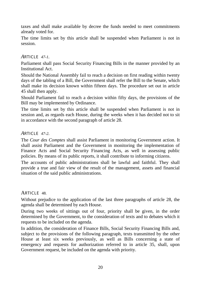taxes and shall make available by decree the funds needed to meet commitments already voted for.

The time limits set by this article shall be suspended when Parliament is not in session.

### *A*RTICLE *47-1.*

Parliament shall pass Social Security Financing Bills in the manner provided by an Institutional Act.

Should the National Assembly fail to reach a decision on first reading within twenty days of the tabling of a Bill, the Government shall refer the Bill to the Senate, which shall make its decision known within fifteen days. The procedure set out in article 45 shall then apply.

Should Parliament fail to reach a decision within fifty days, the provisions of the Bill may be implemented by Ordinance.

The time limits set by this article shall be suspended when Parliament is not in session and, as regards each House, during the weeks when it has decided not to sit in accordance with the second paragraph of article 28.

### *A*RTICLE *47-2.*

The *Cour des Comptes* shall assist Parliament in monitoring Government action. It shall assist Parliament and the Government in monitoring the implementation of Finance Acts and Social Security Financing Acts, as well in assessing public policies. By means of its public reports, it shall contribute to informing citizens.

The accounts of public administrations shall be lawful and faithful. They shall provide a true and fair view of the result of the management, assets and financial situation of the said public administrations.

### ARTICLE 48.

Without prejudice to the application of the last three paragraphs of article 28, the agenda shall be determined by each House.

During two weeks of sittings out of four, priority shall be given, in the order determined by the Government, to the consideration of texts and to debates which it requests to be included on the agenda.

In addition, the consideration of Finance Bills, Social Security Financing Bills and, subject to the provisions of the following paragraph, texts transmitted by the other House at least six weeks previously, as well as Bills concerning a state of emergency and requests for authorization referred to in article 35, shall, upon Government request, be included on the agenda with priority.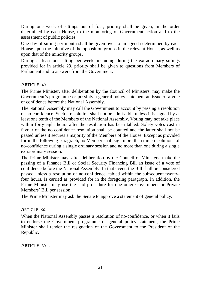During one week of sittings out of four, priority shall be given, in the order determined by each House, to the monitoring of Government action and to the assessment of public policies.

One day of sitting per month shall be given over to an agenda determined by each House upon the initiative of the opposition groups in the relevant House, as well as upon that of the minority groups.

During at least one sitting per week, including during the extraordinary sittings provided for in article 29, priority shall be given to questions from Members of Parliament and to answers from the Government.

### ARTICLE 49.

The Prime Minister, after deliberation by the Council of Ministers, may make the Government's programme or possibly a general policy statement an issue of a vote of confidence before the National Assembly.

The National Assembly may call the Government to account by passing a resolution of no-confidence. Such a resolution shall not be admissible unless it is signed by at least one tenth of the Members of the National Assembly. Voting may not take place within forty-eight hours after the resolution has been tabled. Solely votes cast in favour of the no-confidence resolution shall be counted and the latter shall not be passed unless it secures a majority of the Members of the House. Except as provided for in the following paragraph, no Member shall sign more than three resolutions of no-confidence during a single ordinary session and no more than one during a single extraordinary session.

The Prime Minister may, after deliberation by the Council of Ministers, make the passing of a Finance Bill or Social Security Financing Bill an issue of a vote of confidence before the National Assembly. In that event, the Bill shall be considered passed unless a resolution of no-confidence, tabled within the subsequent twentyfour hours, is carried as provided for in the foregoing paragraph. In addition, the Prime Minister may use the said procedure for one other Government or Private Members' Bill per session.

The Prime Minister may ask the Senate to approve a statement of general policy.

### *A*RTICLE *50.*

When the National Assembly passes a resolution of no-confidence, or when it fails to endorse the Government programme or general policy statement, the Prime Minister shall tender the resignation of the Government to the President of the Republic.

ARTICLE 50-1.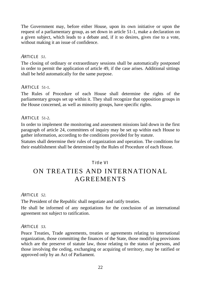The Government may, before either House, upon its own initiative or upon the request of a parliamentary group, as set down in article 51-1, make a declaration on a given subject, which leads to a debate and, if it so desires, gives rise to a vote, without making it an issue of confidence.

### *A*RTICLE *51.*

The closing of ordinary or extraordinary sessions shall be automatically postponed in order to permit the application of article 49, if the case arises. Additional sittings shall be held automatically for the same purpose.

### ARTICLE  $51-1$ .

The Rules of Procedure of each House shall determine the rights of the parliamentary groups set up within it. They shall recognize that opposition groups in the House concerned, as well as minority groups, have specific rights.

### ARTICLE 51-2.

In order to implement the monitoring and assessment missions laid down in the first paragraph of article 24, committees of inquiry may be set up within each House to gather information, according to the conditions provided for by statute.

Statutes shall determine their rules of organization and operation. The conditions for their establishment shall be determined by the Rules of Procedure of each House.

## T itle VI

# ON TREATIES AND INTERNATIONAL AGREEMENTS

#### *A*RTICLE *52.*

The President of the Republic shall negotiate and ratify treaties.

He shall be informed of any negotiations for the conclusion of an international agreement not subject to ratification.

### *A*RTICLE *53.*

Peace Treaties, Trade agreements, treaties or agreements relating to international organization, those committing the finances of the State, those modifying provisions which are the preserve of statute law, those relating to the status of persons, and those involving the ceding, exchanging or acquiring of territory, may be ratified or approved only by an Act of Parliament.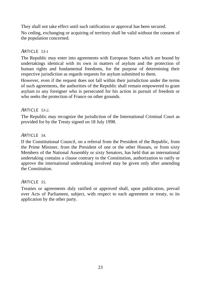They shall not take effect until such ratification or approval has been secured. No ceding, exchanging or acquiring of territory shall be valid without the consent of the population concerned.

### *A*RTICLE *53-1*

The Republic may enter into agreements with European States which are bound by undertakings identical with its own in matters of asylum and the protection of human rights and fundamental freedoms, for the purpose of determining their respective jurisdiction as regards requests for asylum submitted to them.

However, even if the request does not fall within their jurisdiction under the terms of such agreements, the authorities of the Republic shall remain empowered to grant asylum to any foreigner who is persecuted for his action in pursuit of freedom or who seeks the protection of France on other grounds.

### *A*RTICLE *53-2.*

The Republic may recognize the jurisdiction of the International Criminal Court as provided for by the Treaty signed on 18 July 1998.

### *A*RTICLE *54.*

If the Constitutional Council, on a referral from the President of the Republic, from the Prime Minister, from the President of one or the other Houses, or from sixty Members of the National Assembly or sixty Senators, has held that an international undertaking contains a clause contrary to the Constitution, authorization to ratify or approve the international undertaking involved may be given only after amending the Constitution.

### *A*RTICLE *55.*

Treaties or agreements duly ratified or approved shall, upon publication, prevail over Acts of Parliament, subject, with respect to each agreement or treaty, to its application by the other party.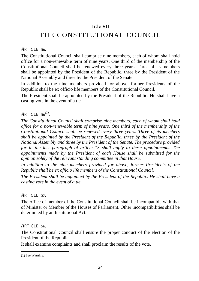### T itle VII

# THE CONSTITUTIONAL COUNCIL

### *A*RTICLE *56.*

The Constitutional Council shall comprise nine members, each of whom shall hold office for a non-renewable term of nine years. One third of the membership of the Constitutional Council shall be renewed every three years. Three of its members shall be appointed by the President of the Republic, three by the President of the National Assembly and three by the President of the Senate.

In addition to the nine members provided for above, former Presidents of the Republic shall be ex officio life members of the Constitutional Council.

The President shall be appointed by the President of the Republic. He shall have a casting vote in the event of a tie.

# $A$ RTICLE  $56^{(1)}$  $56^{(1)}$  $56^{(1)}$ .

*The Constitutional Council shall comprise nine members, each of whom shall hold office for a non-renewable term of nine years. One third of the membership of the Constitutional Council shall be renewed every three years. Three of its members shall be appointed by the President of the Republic, three by the President of the National Assembly and three by the President of the Senate. The procedure provided for in the last paragraph of article 13 shall apply to these appointments. The appointments made by the President of each House shall be submitted for the opinion solely of the relevant standing committee in that House.* 

*In addition to the nine members provided for above, former Presidents of the Republic shall be ex officio life members of the Constitutional Council.* 

*The President shall be appointed by the President of the Republic. He shall have a casting vote in the event of a tie.*

### *A*RTICLE *57.*

The office of member of the Constitutional Council shall be incompatible with that of Minister or Member of the Houses of Parliament. Other incompatibilities shall be determined by an Institutional Act.

### *A*RTICLE *58.*

The Constitutional Council shall ensure the proper conduct of the election of the President of the Republic.

It shall examine complaints and shall proclaim the results of the vote.

<u>.</u>

<span id="page-23-0"></span><sup>(1)</sup> See Warning.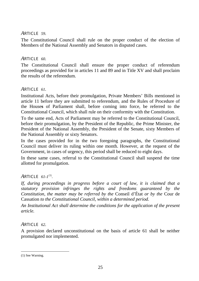### *A*RTICLE *59.*

The Constitutional Council shall rule on the proper conduct of the election of Members of the National Assembly and Senators in disputed cases.

### *A*RTICLE *60.*

The Constitutional Council shall ensure the proper conduct of referendum proceedings as provided for in articles 11 and 89 and in Title XV and shall proclaim the results of the referendum.

### *A*RTICLE *61.*

Institutional Acts, before their promulgation, Private Members' Bills mentioned in article 11 before they are submitted to referendum, and the Rules of Procedure of the House**s** of Parliament shall, before coming into force, be referred to the Constitutional Council, which shall rule on their conformity with the Constitution.

To the same end, Acts of Parliament may be referred to the Constitutional Council, before their promulgation, by the President of the Republic, the Prime Minister, the President of the National Assembly, the President of the Senate, sixty Members of the National Assembly or sixty Senators.

In the cases provided for in the two foregoing paragraphs, the Constitutional Council must deliver its ruling within one month. However, at the request of the Government, in cases of urgency, this period shall be reduced to eight days.

In these same cases, referral to the Constitutional Council shall suspend the time allotted for promulgation.

### $A$ RTICLE  $61-I^{(1)}$  $61-I^{(1)}$  $61-I^{(1)}$ .

*If, during proceedings in progress before a court of law, it is claimed that a statutory provision infringes the rights and freedoms guaranteed by the Constitution, the matter may be referred by the* Conseil d'État *or by the* Cour de Cassation *to the Constitutional Council, within a determined period.*

*An Institutional Act shall determine the conditions for the application of the present article.* 

### *A*RTICLE *62.*

A provision declared unconstitutional on the basis of article 61 shall be neither promulgated nor implemented.

<span id="page-24-0"></span><sup>&</sup>lt;u>.</u> (1) See Warning.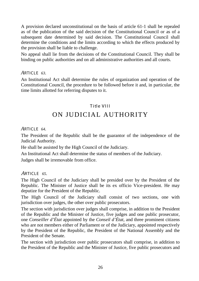A provision declared unconstitutional on the basis of article 61-1 shall be repealed as of the publication of the said decision of the Constitutional Council or as of a subsequent date determined by said decision. The Constitutional Council shall determine the conditions and the limits according to which the effects produced by the provision shall be liable to challenge.

No appeal shall lie from the decisions of the Constitutional Council. They shall be binding on public authorities and on all administrative authorities and all courts.

*A*RTICLE *63.*

An Institutional Act shall determine the rules of organization and operation of the Constitutional Council, the procedure to be followed before it and, in particular, the time limits allotted for referring disputes to it.

## Title VIII

# ON JUDICIAL AUTHORITY

### *A*RTICLE *64.*

The President of the Republic shall be the guarantor of the independence of the Judicial Authority.

He shall be assisted by the High Council of the Judiciary.

An Institutional Act shall determine the status of members of the Judiciary.

Judges shall be irremovable from office.

## *A*RTICLE *65.*

The High Council of the Judiciary shall be presided over by the President of the Republic. The Minister of Justice shall be its ex officio Vice-president. He may deputize for the President of the Republic.

The High Council of the Judiciary shall consist of two sections, one with jurisdiction over judges, the other over public prosecutors.

The section with jurisdiction over judges shall comprise, in addition to the President of the Republic and the Minister of Justice, five judges and one public prosecutor, one *Conseiller d'État* appointed by the *Conseil d'État*, and three prominent citizens who are not members either of Parliament or of the Judiciary, appointed respectively by the President of the Republic, the President of the National Assembly and the President of the Senate.

The section with jurisdiction over public prosecutors shall comprise, in addition to the President of the Republic and the Minister of Justice, five public prosecutors and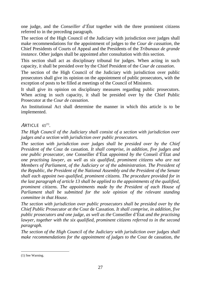one judge, and the *Conseiller d'État* together with the three prominent citizens referred to in the preceding paragraph.

The section of the High Council of the Judiciary with jurisdiction over judges shall make recommendations for the appointment of judges to the *Cour de cassation*, the Chief Presidents of Courts of Appeal and the Presidents of the *Tribunaux de grande instance*. Other judges shall be appointed after consultation with this section.

This section shall act as disciplinary tribunal for judges. When acting in such capacity, it shall be presided over by the Chief President of the *Cour de cassation*.

The section of the High Council of the Judiciary with jurisdiction over public prosecutors shall give its opinion on the appointment of public prosecutors, with the exception of posts to be filled at meetings of the Council of Ministers.

It shall give its opinion on disciplinary measures regarding public prosecutors. When acting in such capacity, it shall be presided over by the Chief Public Prosecutor at the *Cour de cassation*.

An Institutional Act shall determine the manner in which this article is to be implemented.

# $A$ RTICLE  $65$ <sup>[\(1\)](#page-26-0)</sup>.

*The High Council of the Judiciary shall consist of a section with jurisdiction over judges and a section with jurisdiction over public prosecutors.* 

*The section with jurisdiction over judges shall be presided over by the Chief President of the* Cour de cassation*. It shall comprise, in addition, five judges and one public prosecutor, one* Conseiller d'État *appointed by the* Conseil d'État *and one practising lawyer, as well as six qualified, prominent citizens who are not Members of Parliament, of the Judiciary or of the administration. The President of the Republic, the President of the National Assembly and the President of the Senate shall each appoint two qualified, prominent citizens. The procedure provided for in the last paragraph of article 13 shall be applied to the appointments of the qualified, prominent citizens. The appointments made by the President of each House of Parliament shall be submitted for the sole opinion of the relevant standing committee in that House.* 

*The section with jurisdiction over public prosecutors shall be presided over by the Chief Public Prosecutor at the* Cour de Cassation*. It shall comprise, in addition, five public prosecutors and one judge, as well as the* Conseiller d'État *and the practising lawyer, together with the six qualified, prominent citizens referred to in the second paragraph.* 

*The section of the High Council of the Judiciary with jurisdiction over judges shall make recommendations for the appointment of judges to the* Cour de cassation*, the* 

<span id="page-26-0"></span><sup>&</sup>lt;u>.</u> (1) See Warning.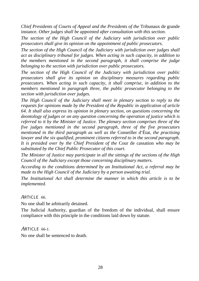*Chief Presidents of Courts of Appeal and the Presidents of the Tribunaux de grande* instance*. Other judges shall be appointed after consultation with this section.*

*The section of the High Council of the Judiciary with jurisdiction over public prosecutors shall give its opinion on the appointment of public prosecutors.* 

*The section of the High Council of the Judiciary with jurisdiction over judges shall act as disciplinary tribunal for judges. When acting in such capacity, in addition to the members mentioned in the second paragraph, it shall comprise the judge belonging to the section with jurisdiction over public prosecutors.* 

*The section of the High Council of the Judiciary with jurisdiction over public prosecutors shall give its opinion on disciplinary measures regarding public prosecutors. When acting in such capacity, it shall comprise, in addition to the members mentioned in paragraph three, the public prosecutor belonging to the section with jurisdiction over judges.*

*The High Council of the Judiciary shall meet in plenary section to reply to the requests for opinions made by the President of the Republic in application of article 64. It shall also express its opinion in plenary section, on questions concerning the deontology of judges or on any question concerning the operation of justice which is referred to it by the Minister of Justice. The plenary section comprises three of the five judges mentioned in the second paragraph, three of the five prosecutors mentioned in the third paragraph as well as the* Conseiller d'État*, the practising lawyer and the six qualified, prominent citizens referred to in the second paragraph. It is presided over by the Chief President of the* Cour de cassation *who may be substituted by the Chief Public Prosecutor of this court.*

*The Minister of Justice may participate in all the sittings of the sections of the High Council of the Judiciary except those concerning disciplinary matters.*

*According to the conditions determined by an Institutional Act, a referral may be made to the High Council of the Judiciary by a person awaiting trial.*

*The Institutional Act shall determine the manner in which this article is to be implemented.*

*A*RTICLE *66*.

No one shall be arbitrarily detained.

The Judicial Authority, guardian of the freedom of the individual, shall ensure compliance with this principle in the conditions laid down by statute.

*A*RTICLE *66-1.* No one shall be sentenced to death.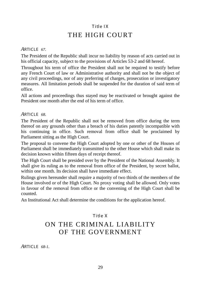# T itle I X THE HIGH COURT

### *A*RTICLE *67.*

The President of the Republic shall incur no liability by reason of acts carried out in his official capacity, subject to the provisions of Articles 53-2 and 68 hereof.

Throughout his term of office the President shall not be required to testify before any French Court of law or Administrative authority and shall not be the object of any civil proceedings, nor of any preferring of charges, prosecution or investigatory measures. All limitation periods shall be suspended for the duration of said term of office.

All actions and proceedings thus stayed may be reactivated or brought against the President one month after the end of his term of office.

### *A*RTICLE *68.*

The President of the Republic shall not be removed from office during the term thereof on any grounds other than a breach of his duties patently incompatible with his continuing in office. Such removal from office shall be proclaimed by Parliament sitting as the High Court.

The proposal to convene the High Court adopted by one or other of the Houses of Parliament shall be immediately transmitted to the other House which shall make its decision known within fifteen days of receipt thereof.

The High Court shall be presided over by the President of the National Assembly. It shall give its ruling as to the removal from office of the President, by secret ballot, within one month. Its decision shall have immediate effect.

Rulings given hereunder shall require a majority of two thirds of the members of the House involved or of the High Court. No proxy voting shall be allowed. Only votes in favour of the removal from office or the convening of the High Court shall be counted.

An Institutional Act shall determine the conditions for the application hereof.

## T itle X

# ON THE CRIMINAL LIABILITY OF THE GOVERNMENT

*A*RTICLE *68-1.*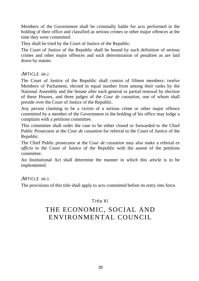Members of the Government shall be criminally liable for acts performed in the holding of their office and classified as serious crimes or other major offences at the time they were committed.

They shall be tried by the Court of Justice of the Republic.

The Court of Justice of the Republic shall be bound by such definition of serious crimes and other major offences and such determination of penalties as are laid down by statute.

*A*RTICLE *68-2.*

The Court of Justice of the Republic shall consist of fifteen members: twelve Members of Parliament, elected in equal number from among their ranks by the National Assembly and the Senate after each general or partial renewal by election of these Houses, and three judges of the *Cour de cassation*, one of whom shall preside over the Court of Justice of the Republic.

Any person claiming to be a victim of a serious crime or other major offence committed by a member of the Government in the holding of his office may lodge a complaint with a petitions committee.

This committee shall order the case to be either closed or forwarded to the Chief Public Prosecutor at the *Cour de cassation* for referral to the Court of Justice of the Republic.

The Chief Public prosecutor at the *Cour de cassation* may also make a referral *ex officio* to the Court of Justice of the Republic with the assent of the petitions committee.

An Institutional Act shall determine the manner in which this article is to be implemented.

*A*RTICLE *68-3.*

The provisions of this title shall apply to acts committed before its entry into force.

### T itle XI

# THE ECONOMIC, SOCIAL AND ENVIRONMENTAL COUNCIL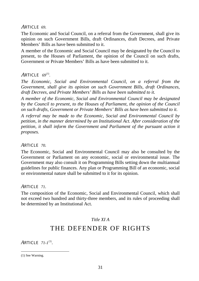*A*RTICLE *69.*

The Economic and Social Council, on a referral from the Government, shall give its opinion on such Government Bills, draft Ordinances, draft Decrees, and Private Members' Bills as have been submitted to it.

A member of the Economic and Social Council may be designated by the Council to present, to the Houses of Parliament, the opinion of the Council on such drafts, Government or Private Members' Bills as have been submitted to it.

# $A$ RTICLE  $69^{(1)}$  $69^{(1)}$  $69^{(1)}$ .

*The Economic, Social and Environmental Council, on a referral from the Government, shall give its opinion on such Government Bills, draft Ordinances, draft Decrees, and Private Members' Bills as have been submitted to it.* 

*A member of the Economic, Social and Environmental Council may be designated by the Council to present, to the Houses of Parliament, the opinion of the Council on such drafts, Government or Private Members' Bills as have been submitted to it.*

*A referral may be made to the Economic, Social and Environmental Council by petition, in the manner determined by an Institutional Act. After consideration of the petition, it shall inform the Government and Parliament of the pursuant action it proposes.* 

#### *A*RTICLE *70.*

The Economic, Social and Environmental Council may also be consulted by the Government or Parliament on any economic, social or environmental issue. The Government may also consult it on Programming Bills setting down the multiannual guidelines for public finances. Any plan or Programming Bill of an economic, social or environmental nature shall be submitted to it for its opinion.

#### *A*RTICLE *71.*

The composition of the Economic, Social and Environmental Council, which shall not exceed two hundred and thirty-three members, and its rules of proceeding shall be determined by an Institutional Act.

#### *Title XI A*

# THE DEFENDER OF RIGHTS

 $A$ RTICLE  $71 - I^{(1)}$  $71 - I^{(1)}$  $71 - I^{(1)}$ .

<u>.</u>

<span id="page-30-0"></span><sup>(1)</sup> See Warning.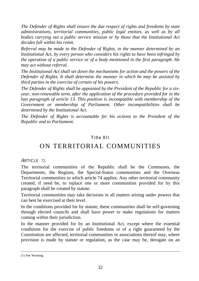*The Defender of Rights shall ensure the due respect of rights and freedoms by state administrations, territorial communities, public legal entities, as well as by all bodies carrying out a public service mission or by those that the Institutional Act decides fall within his remit.* 

*Referral may be made to the Defender of Rights, in the manner determined by an Institutional Act, by every person who considers his rights to have been infringed by the operation of a public service or of a body mentioned in the first paragraph. He may act without referral.* 

*The Institutional Act shall set down the mechanisms for action and the powers of the Defender of Rights. It shall determine the manner in which he may be assisted by third parties in the exercise of certain of his powers.* 

*The Defender of Rights shall be appointed by the President of the Republic for a sixyear, non-renewable term, after the application of the procedure provided for in the*  last paragraph of article 13. This position is incompatible with membership of the *Government or membership of Parliament. Other incompatibilities shall be determined by the Institutional Act.* 

*The Defender of Rights is accountable for his actions to the President of the Republic and to Parliament.* 

## **Title XII**

# ON TERRITORIAL COMMUNITIES

#### *A*RTICLE *72.*

The territorial communities of the Republic shall be the Communes, the Departments, the Regions, the Special-Status communities and the Overseas Territorial communities to which article 74 applies. Any other territorial community created, if need be, to replace one or more communities provided for by this paragraph shall be created by statute.

Territorial communities may take decisions in all matters arising under powers that can best be exercised at their level.

In the conditions provided for by statute, these communities shall be self-governing through elected councils and shall have power to make regulations for matters coming within their jurisdiction.

In the manner provided for by an Institutional Act, except where the essential conditions for the exercise of public freedoms or of a right guaranteed by the Constitution are affected, territorial communities or associations thereof may, where provision is made by statute or regulation, as the case may be, derogate on an

<u>.</u>

<sup>(1)</sup> See Warning.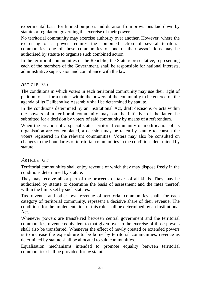experimental basis for limited purposes and duration from provisions laid down by statute or regulation governing the exercise of their powers.

No territorial community may exercise authority over another. However, where the exercising of a power requires the combined action of several territorial communities, one of those communities or one of their associations may be authorised by statute to organise such combined action.

In the territorial communities of the Republic, the State representative, representing each of the members of the Government, shall be responsible for national interests, administrative supervision and compliance with the law.

### *A*RTICLE *72-1.*

The conditions in which voters in each territorial community may use their right of petition to ask for a matter within the powers of the community to be entered on the agenda of its Deliberative Assembly shall be determined by statute.

In the conditions determined by an Institutional Act, draft decisions or acts within the powers of a territorial community may, on the initiative of the latter, be submitted for a decision by voters of said community by means of a referendum.

When the creation of a special-status territorial community or modification of its organisation are contemplated, a decision may be taken by statute to consult the voters registered in the relevant communities. Voters may also be consulted on changes to the boundaries of territorial communities in the conditions determined by statute.

### *A*RTICLE *72-2.*

Territorial communities shall enjoy revenue of which they may dispose freely in the conditions determined by statute.

They may receive all or part of the proceeds of taxes of all kinds. They may be authorised by statute to determine the basis of assessment and the rates thereof, within the limits set by such statutes.

Tax revenue and other own revenue of territorial communities shall, for each category of territorial community, represent a decisive share of their revenue. The conditions for the implementation of this rule shall be determined by an Institutional Act.

Whenever powers are transferred between central government and the territorial communities, revenue equivalent to that given over to the exercise of those powers shall also be transferred. Whenever the effect of newly created or extended powers is to increase the expenditure to be borne by territorial communities, revenue as determined by statute shall be allocated to said communities.

Equalisation mechanisms intended to promote equality between territorial communities shall be provided for by statute.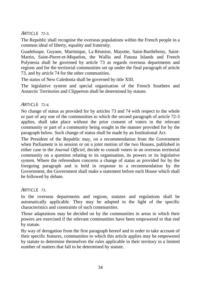### *A*RTICLE *72-3.*

The Republic shall recognise the overseas populations within the French people in a common ideal of liberty, equality and fraternity.

Guadeloupe, Guyane, Martinique, La Réunion, Mayotte, Saint-Barthélemy, Saint-Martin, Saint-Pierre-et-Miquelon, the Wallis and Futuna Islands and French Polynesia shall be governed by article 73 as regards overseas departments and regions and for the territorial communities set up under the final paragraph of article 73, and by article 74 for the other communities.

The status of New Caledonia shall be governed by title XIII.

The legislative system and special organisation of the French Southern and Antarctic Territories and Clipperton shall be determined by statute.

### *A*RTICLE *72-4.*

No change of status as provided for by articles 73 and 74 with respect to the whole or part of any one of the communities to which the second paragraph of article 72-3 applies, shall take place without the prior consent of voters in the relevant community or part of a community being sought in the manner provided for by the paragraph below. Such change of status shall be made by an Institutional Act.

The President of the Republic may, on a recommendation from the Government when Parliament is in session or on a joint motion of the two Houses, published in either case in the *Journal Officiel*, decide to consult voters in an overseas territorial community on a question relating to its organisation, its powers or its legislative system. Where the referendum concerns a change of status as provided for by the foregoing paragraph and is held in response to a recommendation by the Government, the Government shall make a statement before each House which shall be followed by debate.

### *A*RTICLE *73.*

In the overseas departments and regions, statutes and regulations shall be automatically applicable. They may be adapted in the light of the specific characteristics and constraints of such communities.

Those adaptations may be decided on by the communities in areas in which their powers are exercised if the relevant communities have been empowered to that end by statute.

By way of derogation from the first paragraph hereof and in order to take account of their specific features, communities to which this article applies may be empowered by statute to determine themselves the rules applicable in their territory in a limited number of matters that fall to be determined by statute.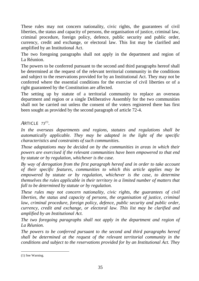These rules may not concern nationality, civic rights, the guarantees of civil liberties, the status and capacity of persons, the organisation of justice, criminal law, criminal procedure, foreign policy, defence, public security and public order, currency, credit and exchange, or electoral law. This list may be clarified and amplified by an Institutional Act.

The two foregoing paragraphs shall not apply in the department and region of La Réunion.

The powers to be conferred pursuant to the second and third paragraphs hereof shall be determined at the request of the relevant territorial community in the conditions and subject to the reservations provided for by an Institutional Act. They may not be conferred where the essential conditions for the exercise of civil liberties or of a right guaranteed by the Constitution are affected.

The setting up by statute of a territorial community to replace an overseas department and region or a single Deliberative Assembly for the two communities shall not be carried out unless the consent of the voters registered there has first been sought as provided by the second paragraph of article 72-4.

## $A$ RTICLE  $73^{(1)}$  $73^{(1)}$  $73^{(1)}$ .

*In the overseas departments and regions, statutes and regulations shall be automatically applicable. They may be adapted in the light of the specific characteristics and constraints of such communities.*

*Those adaptations may be decided on by the communities in areas in which their powers are exercised if the relevant communities have been empowered to that end by statute or by regulation, whichever is the case.*

*By way of derogation from the first paragraph hereof and in order to take account of their specific features, communities to which this article applies may be empowered by statute or by regulation, whichever is the case, to determine themselves the rules applicable in their territory in a limited number of matters that fall to be determined by statute or by regulation.* 

*These rules may not concern nationality, civic rights, the guarantees of civil liberties, the status and capacity of persons, the organisation of justice, criminal law, criminal procedure, foreign policy, defence, public security and public order, currency, credit and exchange, or electoral law. This list may be clarified and amplified by an Institutional Act.*

*The two foregoing paragraphs shall not apply in the department and region of La Réunion.*

The powers to be conferred pursuant to the second and third paragraphs hereof *shall be determined at the request of the relevant territorial community in the conditions and subject to the reservations provided for by an Institutional Act. They* 

<u>.</u>

<span id="page-34-0"></span><sup>(1)</sup> See Warning.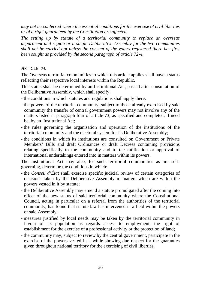*may not be conferred where the essential conditions for the exercise of civil liberties or of a right guaranteed by the Constitution are affected.*

*The setting up by statute of a territorial community to replace an overseas department and region or a single Deliberative Assembly for the two communities shall not be carried out unless the consent of the voters registered there has first been sought as provided by the second paragraph of article 72-4.*

### *A*RTICLE *74.*

The Overseas territorial communities to which this article applies shall have a status reflecting their respective local interests within the Republic.

This status shall be determined by an Institutional Act, passed after consultation of the Deliberative Assembly, which shall specify:

- the conditions in which statutes and regulations shall apply there;
- the powers of the territorial community; subject to those already exercised by said community the transfer of central government powers may not involve any of the matters listed in paragraph four of article 73, as specified and completed, if need be, by an Institutional Act;
- the rules governing the organisation and operation of the institutions of the territorial community and the electoral system for its Deliberative Assembly;
- the conditions in which its institutions are consulted on Government or Private Members' Bills and draft Ordinances or draft Decrees containing provisions relating specifically to the community and to the ratification or approval of international undertakings entered into in matters within its powers.

The Institutional Act may also, for such territorial communities as are selfgoverning, determine the conditions in which:

- the *Conseil d'État* shall exercise specific judicial review of certain categories of decisions taken by the Deliberative Assembly in matters which are within the powers vested in it by statute;
- the Deliberative Assembly may amend a statute promulgated after the coming into effect of the new status of said territorial community where the Constitutional Council, acting in particular on a referral from the authorities of the territorial community, has found that statute law has intervened in a field within the powers of said Assembly;
- measures justified by local needs may be taken by the territorial community in favour of its population as regards access to employment, the right of establishment for the exercise of a professional activity or the protection of land;
- the community may, subject to review by the central government, participate in the exercise of the powers vested in it while showing due respect for the guaranties given throughout national territory for the exercising of civil liberties.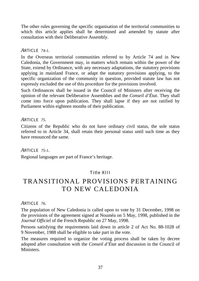The other rules governing the specific organisation of the territorial communities to which this article applies shall be determined and amended by statute after consultation with their Deliberative Assembly.

#### *A*RTICLE *74-1.*

In the Overseas territorial communities referred to by Article 74 and in New Caledonia, the Government may, in matters which remain within the power of the State, extend by Ordinance, with any necessary adaptations, the statutory provisions applying in mainland France, or adapt the statutory provisions applying, to the specific organization of the community in question, provided statute law has not expressly excluded the use of this procedure for the provisions involved.

Such Ordinances shall be issued in the Council of Ministers after receiving the opinion of the relevant Deliberative Assemblies and the *Conseil d'État*. They shall come into force upon publication. They shall lapse if they are not ratified by Parliament within eighteen months of their publication.

### *A*RTICLE *75.*

Citizens of the Republic who do not have ordinary civil status, the sole status referred to in Article 34, shall retain their personal status until such time as they have renounced the same.

#### *A*RTICLE *75-1.*

Regional languages are part of France's heritage.

## Title XIII

# TRANSITIONAL PROVISIONS PERTAINING TO NEW CALEDONIA

#### *A*RTICLE *76.*

The population of New Caledonia is called upon to vote by 31 December, 1998 on the provisions of the agreement signed at Nouméa on 5 May, 1998, published in the *Journal Officiel* of the French Republic on 27 May, 1998.

Persons satisfying the requirements laid down in article 2 of Act No. 88-1028 of 9 November, 1988 shall be eligible to take part in the vote.

The measures required to organize the voting process shall be taken by decree adopted after consultation with the *Conseil d'État* and discussion in the Council of **Ministers**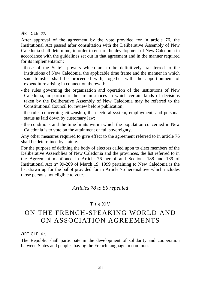*A*RTICLE *77.*

After approval of the agreement by the vote provided for in article 76, the Institutional Act passed after consultation with the Deliberative Assembly of New Caledonia shall determine, in order to ensure the development of New Caledonia in accordance with the guidelines set out in that agreement and in the manner required for its implementation:

- those of the State's powers which are to be definitively transferred to the institutions of New Caledonia, the applicable time frame and the manner in which said transfer shall be proceeded with, together with the apportionment of expenditure arising in connection therewith;
- the rules governing the organization and operation of the institutions of New Caledonia, in particular the circumstances in which certain kinds of decisions taken by the Deliberative Assembly of New Caledonia may be referred to the Constitutional Council for review before publication;
- the rules concerning citizenship, the electoral system, employment, and personal status as laid down by customary law;
- the conditions and the time limits within which the population concerned in New Caledonia is to vote on the attainment of full sovereignty.

Any other measures required to give effect to the agreement referred to in article 76 shall be determined by statute.

For the purpose of defining the body of electors called upon to elect members of the Deliberative Assemblies of New Caledonia and the provinces, the list referred to in the Agreement mentioned in Article 76 hereof and Sections 188 and 189 of Institutional Act n° 99-209 of March 19, 1999 pertaining to New Caledonia is the list drawn up for the ballot provided for in Article 76 hereinabove which includes those persons not eligible to vote.

### *Articles 78 to 86 repealed*

## T itle XI V

# ON THE FRENCH-SPEAKING WORLD AND ON ASSOCIATION AGREEMENTS

#### *A*RTICLE *87.*

The Republic shall participate in the development of solidarity and cooperation between States and peoples having the French language in common.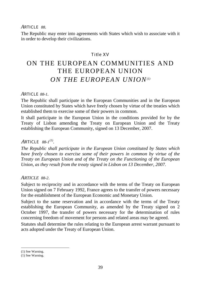#### *A*RTICLE *88.*

The Republic may enter into agreements with States which wish to associate with it in order to develop their civilizations.

# T itle XV

# ON THE EUROPEAN COMMUNITIES AND THE EUROPEAN UNION *ON THE EUROPEAN UNION[\(1\)](#page-38-0)*

#### *A*RTICLE *88-1.*

The Republic shall participate in the European Communities and in the European Union constituted by States which have freely chosen by virtue of the treaties which established them to exercise some of their powers in common.

It shall participate in the European Union in the conditions provided for by the Treaty of Lisbon amending the Treaty on European Union and the Treaty establishing the European Community, signed on 13 December, 2007.

# $A$ RTICLE  $88-I^{(1)}$  $88-I^{(1)}$  $88-I^{(1)}$ .

*The Republic shall participate in the European Union constituted by States which have freely chosen to exercise some of their powers in common by virtue of the Treaty on European Union and of the Treaty on the Functioning of the European Union, as they result from the treaty signed in Lisbon on 13 December, 2007.*

#### *ARTICLE 88-2*.

Subject to reciprocity and in accordance with the terms of the Treaty on European Union signed on 7 February 1992, France agrees to the transfer of powers necessary for the establishment of the European Economic and Monetary Union.

Subject to the same reservation and in accordance with the terms of the Treaty establishing the European Community, as amended by the Treaty signed on 2 October 1997, the transfer of powers necessary for the determination of rules concerning freedom of movement for persons and related areas may be agreed.

Statutes shall determine the rules relating to the European arrest warrant pursuant to acts adopted under the Treaty of European Union.

<u>.</u>

<span id="page-38-0"></span><sup>(1)</sup> See Warning.

<span id="page-38-1"></span><sup>(1)</sup> See Warning.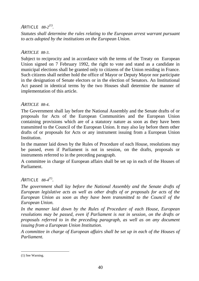# $A$ RTICLE  $88-2^{(1)}$  $88-2^{(1)}$  $88-2^{(1)}$ .

*Statutes shall determine the rules relating to the European arrest warrant pursuant to acts adopted by the institutions on the European Union.*

### *ARTICLE 88-3*.

Subject to reciprocity and in accordance with the terms of the Treaty on European Union signed on 7 February 1992, the right to vote and stand as a candidate in municipal elections shall be granted only to citizens of the Union residing in France. Such citizens shall neither hold the office of Mayor or Deputy Mayor nor participate in the designation of Senate electors or in the election of Senators. An Institutional Act passed in identical terms by the two Houses shall determine the manner of implementation of this article.

### *ARTICLE 88-4*.

The Government shall lay before the National Assembly and the Senate drafts of or proposals for Acts of the European Communities and the European Union containing provisions which are of a statutory nature as soon as they have been transmitted to the Council of the European Union. It may also lay before them other drafts of or proposals for Acts or any instrument issuing from a European Union Institution.

In the manner laid down by the Rules of Procedure of each House, resolutions may be passed, even if Parliament is not in session, on the drafts, proposals or instruments referred to in the preceding paragraph.

A committee in charge of European affairs shall be set up in each of the Houses of Parliament.

# $A$ RTICLE  $88-4^{(1)}$ .

*The government shall lay before the National Assembly and the Senate drafts of European legislative acts as well as other drafts of or proposals for acts of the European Union as soon as they have been transmitted to the Council of the European Union.*

*In the manner laid down by the Rules of Procedure of each House, European resolutions may be passed, even if Parliament is not in session, on the drafts or proposals referred to in the preceding paragraph, as well as on any document issuing from a European Union Institution.*

*A committee in charge of European affairs shall be set up in each of the Houses of Parliament.*

<span id="page-39-0"></span><sup>&</sup>lt;u>.</u> (1) See Warning.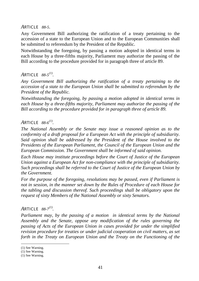*A*RTICLE *88-5*.

Any Government Bill authorizing the ratification of a treaty pertaining to the accession of a state to the European Union and to the European Communities shall be submitted to referendum by the President of the Republic.

Notwithstanding the foregoing, by passing a motion adopted in identical terms in each House by a three-fifths majority, Parliament may authorize the passing of the Bill according to the procedure provided for in paragraph three of article 89.

# $A$ RTICLE  $88-5$ <sup>[\(1\)](#page-40-0)</sup>.

*Any Government Bill authorizing the ratification of a treaty pertaining to the accession of a state to the European Union shall be submitted to referendum by the President of the Republic.*

*Notwithstanding the foregoing, by passing a motion adopted in identical terms in each House by a three-fifths majority, Parliament may authorize the passing of the Bill according to the procedure provided for in paragraph three of article 89.* 

## $A$ RTICLE  $88-6$ <sup>[\(1\)](#page-40-1)</sup>.

*The National Assembly or the Senate may issue a reasoned opinion as to the conformity of a draft proposal for a European Act with the principle of subsidiarity. Said opinion shall be addressed by the President of the House involved to the Presidents of the European Parliament, the Council of the European Union and the European Commission. The Government shall be informed of said opinion.*

*Each House may institute proceedings before the Court of Justice of the European Union against a European Act for non-compliance with the principle of subsidiarity. Such proceedings shall be referred to the Court of Justice of the European Union by the Government.*

*For the purpose of the foregoing, resolutions may be passed, even if Parliament is not in session, in the manner set down by the Rules of Procedure of each House for the tabling and discussion thereof. Such proceedings shall be obligatory upon the request of sixty Members of the National Assembly or sixty Senators.*

# $A$ RTICLE  $88-7$ <sup>[\(1\)](#page-40-2)</sup>.

*Parliament may, by the passing of a motion in identical terms by the National Assembly and the Senate, oppose any modification of the rules governing the passing of Acts of the European Union in cases provided for under the simplified revision procedure for treaties or under judicial cooperation on civil matters, as set forth in the Treaty on European Union and the Treaty on the Functioning of the* 

-

<span id="page-40-0"></span><sup>(1)</sup> See Warning.

<span id="page-40-1"></span><sup>(1)</sup> See Warning.

<span id="page-40-2"></span><sup>(1)</sup> See Warning.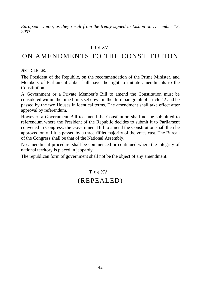*European Union, as they result from the treaty signed in Lisbon on December 13, 2007.*

### **Title XVI**

# ON AMENDMENTS TO THE CONSTITUTION

*A*RTICLE *89.*

The President of the Republic, on the recommendation of the Prime Minister, and Members of Parliament alike shall have the right to initiate amendments to the Constitution.

A Government or a Private Member's Bill to amend the Constitution must be considered within the time limits set down in the third paragraph of article 42 and be passed by the two Houses in identical terms. The amendment shall take effect after approval by referendum.

However, a Government Bill to amend the Constitution shall not be submitted to referendum where the President of the Republic decides to submit it to Parliament convened in Congress; the Government Bill to amend the Constitution shall then be approved only if it is passed by a three-fifths majority of the votes cast. The Bureau of the Congress shall be that of the National Assembly.

No amendment procedure shall be commenced or continued where the integrity of national territory is placed in jeopardy.

The republican form of government shall not be the object of any amendment.

# **Title XVII** (REPEALED)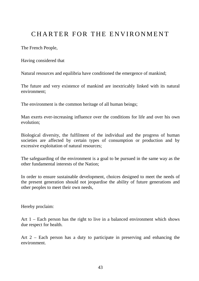# CHARTER FOR THE ENVIRONMENT

The French People,

Having considered that

Natural resources and equilibria have conditioned the emergence of mankind;

The future and very existence of mankind are inextricably linked with its natural environment;

The environment is the common heritage of all human beings;

Man exerts ever-increasing influence over the conditions for life and over his own evolution;

Biological diversity, the fulfilment of the individual and the progress of human societies are affected by certain types of consumption or production and by excessive exploitation of natural resources;

The safeguarding of the environment is a goal to be pursued in the same way as the other fundamental interests of the Nation;

In order to ensure sustainable development, choices designed to meet the needs of the present generation should not jeopardise the ability of future generations and other peoples to meet their own needs,

Hereby proclaim:

Art 1 – Each person has the right to live in a balanced environment which shows due respect for health.

Art 2 – Each person has a duty to participate in preserving and enhancing the environment.